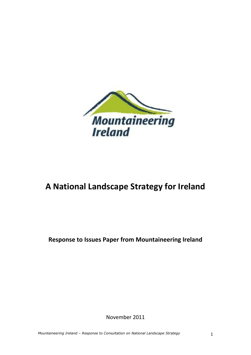

# **A National Landscape Strategy for Ireland**

**Response to Issues Paper from Mountaineering Ireland**

November 2011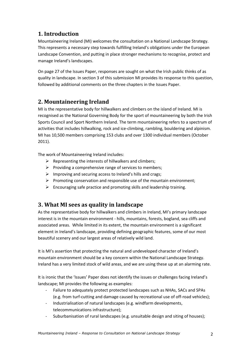# **1. Introduction**

Mountaineering Ireland (MI) welcomes the consultation on a National Landscape Strategy. This represents a necessary step towards fulfilling Ireland's obligations under the European Landscape Convention, and putting in place stronger mechanisms to recognise, protect and manage Ireland's landscapes.

On page 27 of the Issues Paper, responses are sought on what the Irish public thinks of as quality in landscape. In section 3 of this submission MI provides its response to this question, followed by additional comments on the three chapters in the Issues Paper.

# **2. Mountaineering Ireland**

MI is the representative body for hillwalkers and climbers on the island of Ireland. MI is recognised as the National Governing Body for the sport of mountaineering by both the Irish Sports Council and Sport Northern Ireland. The term mountaineering refers to a spectrum of activities that includes hillwalking, rock and ice-climbing, rambling, bouldering and alpinism. MI has 10,500 members comprising 153 clubs and over 1300 individual members (October 2011).

The work of Mountaineering Ireland includes:

- $\triangleright$  Representing the interests of hillwalkers and climbers;
- $\triangleright$  Providing a comprehensive range of services to members;
- $\triangleright$  Improving and securing access to Ireland's hills and crags;
- $\triangleright$  Promoting conservation and responsible use of the mountain environment;
- $\triangleright$  Encouraging safe practice and promoting skills and leadership training.

## **3. What MI sees as quality in landscape**

As the representative body for hillwalkers and climbers in Ireland, MI's primary landscape interest is in the mountain environment - hills, mountains, forests, bogland, sea cliffs and associated areas. While limited in its extent, the mountain environment is a significant element in Ireland's landscape, providing defining geographic features, some of our most beautiful scenery and our largest areas of relatively wild land.

It is MI's assertion that protecting the natural and undeveloped character of Ireland's mountain environment should be a key concern within the National Landscape Strategy. Ireland has a very limited stock of wild areas, and we are using these up at an alarming rate.

It is ironic that the 'Issues' Paper does not identify the issues or challenges facing Ireland's landscape; MI provides the following as examples:

- Failure to adequately protect protected landscapes such as NHAs, SACs and SPAs (e.g. from turf-cutting and damage caused by recreational use of off-road vehicles);
- Industrialisation of natural landscapes (e.g. windfarm developments, telecommunications infrastructure);
- Suburbanisation of rural landscapes (e.g. unsuitable design and siting of houses);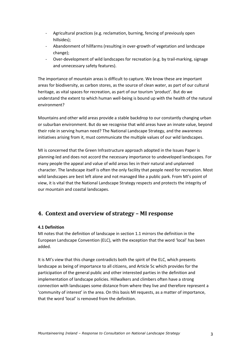- Agricultural practices (e.g. reclamation, burning, fencing of previously open hillsides);
- Abandonment of hillfarms (resulting in over-growth of vegetation and landscape change);
- Over-development of wild landscapes for recreation (e.g. by trail-marking, signage and unnecessary safety features).

The importance of mountain areas is difficult to capture. We know these are important areas for biodiversity, as carbon stores, as the source of clean water, as part of our cultural heritage, as vital spaces for recreation, as part of our tourism 'product'. But do we understand the extent to which human well-being is bound up with the health of the natural environment?

Mountains and other wild areas provide a stable backdrop to our constantly changing urban or suburban environment. But do we recognise that wild areas have an innate value, beyond their role in serving human need? The National Landscape Strategy, and the awareness initiatives arising from it, must communicate the multiple values of our wild landscapes.

MI is concerned that the Green Infrastructure approach adopted in the Issues Paper is planning-led and does not accord the necessary importance to undeveloped landscapes. For many people the appeal and value of wild areas lies in their natural and unplanned character. The landscape itself is often the only facility that people need for recreation. Most wild landscapes are best left alone and not managed like a public park. From MI's point of view, it is vital that the National Landscape Strategy respects and protects the integrity of our mountain and coastal landscapes.

## **4. Context and overview of strategy – MI response**

#### **4.1 Definition**

MI notes that the definition of landscape in section 1.1 mirrors the definition in the European Landscape Convention (ELC), with the exception that the word 'local' has been added.

It is MI's view that this change contradicts both the spirit of the ELC, which presents landscape as being of importance to all citizens, and Article 5c which provides for the participation of the general public and other interested parties in the definition and implementation of landscape policies. Hillwalkers and climbers often have a strong connection with landscapes some distance from where they live and therefore represent a 'community of interest' in the area. On this basis MI requests, as a matter of importance, that the word 'local' is removed from the definition.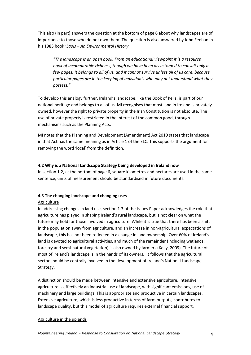This also (in part) answers the question at the bottom of page 6 about why landscapes are of importance to those who do not own them. The question is also answered by John Feehan in his 1983 book '*Laois – An Environmental History*':

*"The landscape is an open book. From an educational viewpoint it is a resource book of incomparable richness, though we have been accustomed to consult only a few pages. It belongs to all of us, and it cannot survive unless all of us care, because particular pages are in the keeping of individuals who may not understand what they possess."*

To develop this analogy further, Ireland's landscape, like the Book of Kells, is part of our national heritage and belongs to all of us. MI recognises that most land in Ireland is privately owned, however the right to private property in the Irish Constitution is not absolute. The use of private property is restricted in the interest of the common good, through mechanisms such as the Planning Acts.

MI notes that the Planning and Development (Amendment) Act 2010 states that landscape in that Act has the same meaning as in Article 1 of the ELC. This supports the argument for removing the word 'local' from the definition.

#### **4.2 Why is a National Landscape Strategy being developed in Ireland now**

In section 1.2, at the bottom of page 6, square kilometres and hectares are used in the same sentence, units of measurement should be standardised in future documents.

#### **4.3 The changing landscape and changing uses**

#### Agriculture

In addressing changes in land use, section 1.3 of the Issues Paper acknowledges the role that agriculture has played in shaping Ireland's rural landscape, but is not clear on what the future may hold for those involved in agriculture. While it is true that there has been a shift in the population away from agriculture, and an increase in non-agricultural expectations of landscape, this has not been reflected in a change in land ownership. Over 60% of Ireland's land is devoted to agricultural activities, and much of the remainder (including wetlands, forestry and semi-natural vegetation) is also owned by farmers (Kelly, 2009). The future of most of Ireland's landscape is in the hands of its owners. It follows that the agricultural sector should be centrally involved in the development of Ireland's National Landscape Strategy.

A distinction should be made between intensive and extensive agriculture. Intensive agriculture is effectively an industrial use of landscape, with significant emissions, use of machinery and large buildings. This is appropriate and productive in certain landscapes. Extensive agriculture, which is less productive in terms of farm outputs, contributes to landscape quality, but this model of agriculture requires external financial support.

#### Agriculture in the uplands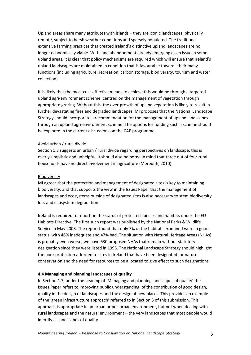Upland areas share many attributes with islands – they are iconic landscapes, physically remote, subject to harsh weather conditions and sparsely populated. The traditional extensive farming practices that created Ireland's distinctive upland landscapes are no longer economically viable. With land abandonment already emerging as an issue in some upland areas, it is clear that policy mechanisms are required which will ensure that Ireland's upland landscapes are maintained in condition that is favourable towards their many functions (including agriculture, recreation, carbon storage, biodiversity, tourism and water collection).

It is likely that the most cost-effective means to achieve this would be through a targeted upland agri-environment scheme, centred on the management of vegetation through appropriate grazing. Without this, the over-growth of upland vegetation is likely to result in further devastating fires and degraded landscapes. MI proposes that the National Landscape Strategy should incorporate a recommendation for the management of upland landscapes through an upland agri-environment scheme. The options for funding such a scheme should be explored in the current discussions on the CAP programme.

#### Avoid urban / rural divide

Section 1.3 suggests an urban / rural divide regarding perspectives on landscape; this is overly simplistic and unhelpful. It should also be borne in mind that three out of four rural households have no direct involvement in agriculture (Meredith, 2010).

#### Biodiversity

MI agrees that the protection and management of designated sites is key to maintaining biodiversity, and that supports the view in the Issues Paper that the management of landscapes and ecosystems outside of designated sites is also necessary to stem biodiversity loss and ecosystem degradation.

Ireland is required to report on the status of protected species and habitats under the EU Habitats Directive. The first such report was published by the National Parks & Wildlife Service in May 2008. The report found that only 7% of the habitats examined were in good status, with 46% inadequate and 47% bad. The situation with Natural Heritage Areas (NHAs) is probably even worse; we have 630 proposed NHAs that remain without statutory designation since they were listed in 1995. The National Landscape Strategy should highlight the poor protection afforded to sites in Ireland that have been designated for nature conservation and the need for resources to be allocated to give effect to such designations.

#### **4.4 Managing and planning landscapes of quality**

In Section 1.7, under the heading of 'Managing and planning landscapes of quality' the Issues Paper refers to improving public understanding of the contribution of good design, quality in the design of landscapes and the design of new places. This provides an example of the 'green infrastructure approach' referred to in Section 3 of this submission. This approach is appropriate in an urban or per-urban environment, but not when dealing with rural landscapes and the natural environment – the very landscapes that most people would identify as landscapes of quality.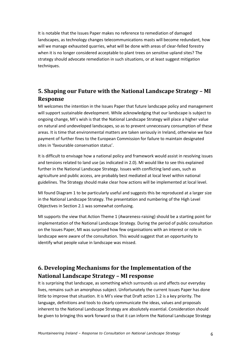It is notable that the Issues Paper makes no reference to remediation of damaged landscapes, as technology changes telecommunications masts will become redundant, how will we manage exhausted quarries, what will be done with areas of clear-felled forestry when it is no longer considered acceptable to plant trees on sensitive upland sites? The strategy should advocate remediation in such situations, or at least suggest mitigation techniques.

# **5. Shaping our Future with the National Landscape Strategy – MI Response**

MI welcomes the intention in the Issues Paper that future landscape policy and management will support sustainable development. While acknowledging that our landscape is subject to ongoing change, MI's wish is that the National Landscape Strategy will place a higher value on natural and undeveloped landscapes, so as to prevent unnecessary consumption of these areas. It is time that environmental matters are taken seriously in Ireland, otherwise we face payment of further fines to the European Commission for failure to maintain designated sites in 'favourable conservation status'.

It is difficult to envisage how a national policy and framework would assist in resolving issues and tensions related to land use (as indicated in 2.0). MI would like to see this explained further in the National Landscape Strategy. Issues with conflicting land uses, such as agriculture and public access, are probably best mediated at local level within national guidelines. The Strategy should make clear how actions will be implemented at local level.

MI found Diagram 1 to be particularly useful and suggests this be reproduced at a larger size in the National Landscape Strategy. The presentation and numbering of the High Level Objectives in Section 2.1 was somewhat confusing.

MI supports the view that Action Theme 1 (Awareness-raising) should be a starting point for implementation of the National Landscape Strategy. During the period of public consultation on the Issues Paper, MI was surprised how few organisations with an interest or role in landscape were aware of the consultation. This would suggest that an opportunity to identify what people value in landscape was missed.

# **6. Developing Mechanisms for the Implementation of the National Landscape Strategy – MI response**

It is surprising that landscape, as something which surrounds us and affects our everyday lives, remains such an amorphous subject. Unfortunately the current Issues Paper has done little to improve that situation. It is MI's view that Draft action 1.2 is a key priority. The language, definitions and tools to clearly communicate the ideas, values and proposals inherent to the National Landscape Strategy are absolutely essential. Consideration should be given to bringing this work forward so that it can inform the National Landscape Strategy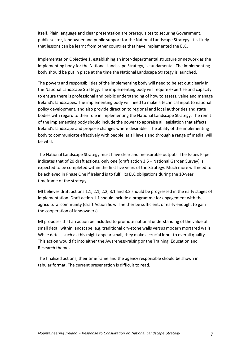itself. Plain language and clear presentation are prerequisites to securing Government, public sector, landowner and public support for the National Landscape Strategy. It is likely that lessons can be learnt from other countries that have implemented the ELC.

Implementation Objective 1, establishing an inter-departmental structure or network as the implementing body for the National Landscape Strategy, is fundamental. The implementing body should be put in place at the time the National Landscape Strategy is launched.

The powers and responsibilities of the implementing body will need to be set out clearly in the National Landscape Strategy. The implementing body will require expertise and capacity to ensure there is professional and public understanding of how to assess, value and manage Ireland's landscapes. The implementing body will need to make a technical input to national policy development, and also provide direction to regional and local authorities and state bodies with regard to their role in implementing the National Landscape Strategy. The remit of the implementing body should include the power to appraise all legislation that affects Ireland's landscape and propose changes where desirable. The ability of the implementing body to communicate effectively with people, at all levels and through a range of media, will be vital.

The National Landscape Strategy must have clear and measurable outputs. The Issues Paper indicates that of 20 draft actions, only one (draft action 3.5 – National Garden Survey) is expected to be completed within the first five years of the Strategy. Much more will need to be achieved in Phase One if Ireland is to fulfil its ELC obligations during the 10-year timeframe of the strategy.

MI believes draft actions 1.1, 2.1, 2.2, 3.1 and 3.2 should be progressed in the early stages of implementation. Draft action 1.1 should include a programme for engagement with the agricultural community (draft Action 5c will neither be sufficient, or early enough, to gain the cooperation of landowners).

MI proposes that an action be included to promote national understanding of the value of small detail within landscape, e.g. traditional dry-stone walls versus modern mortared walls. While details such as this might appear small, they make a crucial input to overall quality. This action would fit into either the Awareness-raising or the Training, Education and Research themes.

The finalised actions, their timeframe and the agency responsible should be shown in tabular format. The current presentation is difficult to read.